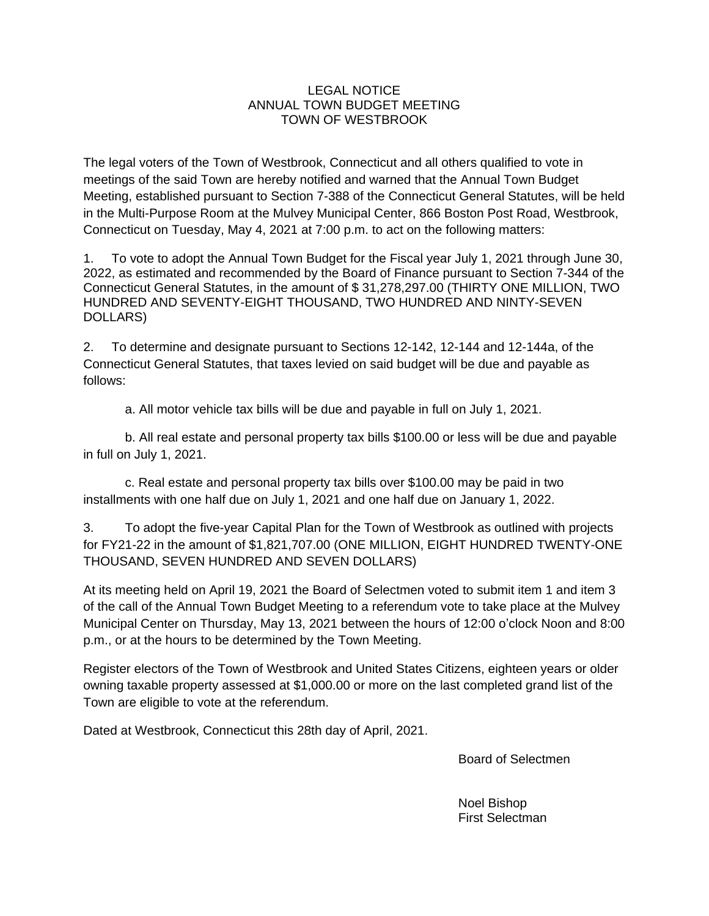## LEGAL NOTICE ANNUAL TOWN BUDGET MEETING TOWN OF WESTBROOK

The legal voters of the Town of Westbrook, Connecticut and all others qualified to vote in meetings of the said Town are hereby notified and warned that the Annual Town Budget Meeting, established pursuant to Section 7-388 of the Connecticut General Statutes, will be held in the Multi-Purpose Room at the Mulvey Municipal Center, 866 Boston Post Road, Westbrook, Connecticut on Tuesday, May 4, 2021 at 7:00 p.m. to act on the following matters:

1. To vote to adopt the Annual Town Budget for the Fiscal year July 1, 2021 through June 30, 2022, as estimated and recommended by the Board of Finance pursuant to Section 7-344 of the Connecticut General Statutes, in the amount of \$ 31,278,297.00 (THIRTY ONE MILLION, TWO HUNDRED AND SEVENTY-EIGHT THOUSAND, TWO HUNDRED AND NINTY-SEVEN DOLLARS)

2. To determine and designate pursuant to Sections 12-142, 12-144 and 12-144a, of the Connecticut General Statutes, that taxes levied on said budget will be due and payable as follows:

a. All motor vehicle tax bills will be due and payable in full on July 1, 2021.

b. All real estate and personal property tax bills \$100.00 or less will be due and payable in full on July 1, 2021.

c. Real estate and personal property tax bills over \$100.00 may be paid in two installments with one half due on July 1, 2021 and one half due on January 1, 2022.

3. To adopt the five-year Capital Plan for the Town of Westbrook as outlined with projects for FY21-22 in the amount of \$1,821,707.00 (ONE MILLION, EIGHT HUNDRED TWENTY-ONE THOUSAND, SEVEN HUNDRED AND SEVEN DOLLARS)

At its meeting held on April 19, 2021 the Board of Selectmen voted to submit item 1 and item 3 of the call of the Annual Town Budget Meeting to a referendum vote to take place at the Mulvey Municipal Center on Thursday, May 13, 2021 between the hours of 12:00 o'clock Noon and 8:00 p.m., or at the hours to be determined by the Town Meeting.

Register electors of the Town of Westbrook and United States Citizens, eighteen years or older owning taxable property assessed at \$1,000.00 or more on the last completed grand list of the Town are eligible to vote at the referendum.

Dated at Westbrook, Connecticut this 28th day of April, 2021.

Board of Selectmen

Noel Bishop First Selectman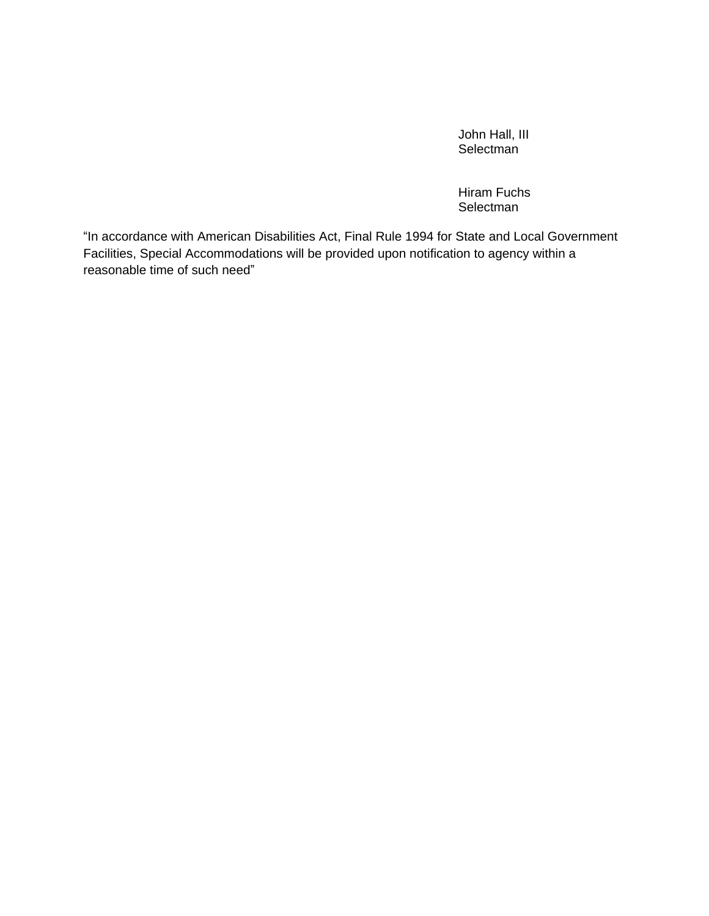John Hall, III **Selectman** 

Hiram Fuchs Selectman

"In accordance with American Disabilities Act, Final Rule 1994 for State and Local Government Facilities, Special Accommodations will be provided upon notification to agency within a reasonable time of such need"